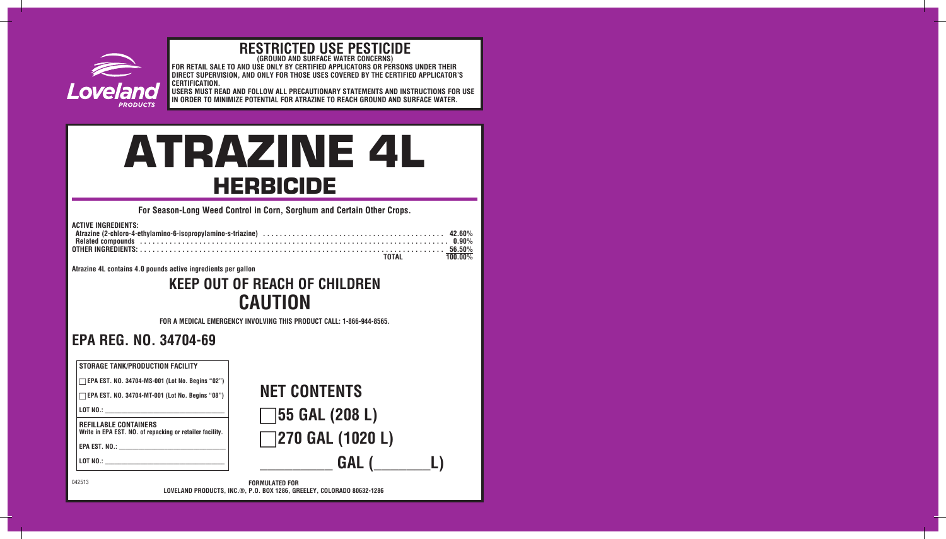

# **RESTRICTED USE PESTICIDE (GROUND AND SURFACE WATER CONCERNS)**

**FOR RETAIL SALE TO AND USE ONLY BY CERTIFIED APPLICATORS OR PERSONS UNDER THEIR DIRECT SUPERVISION, AND ONLY FOR THOSE USES COVERED BY THE CERTIFIED APPLICATOR'S CERTIFICATION.** 

**USERS MUST READ AND FOLLOW ALL PRECAUTIONARY STATEMENTS AND INSTRUCTIONS FOR USE IN ORDER TO MINIMIZE POTENTIAL FOR ATRAZINE TO REACH GROUND AND SURFACE WATER.** 

# ATRAZINE 4L HERBICIDE

**For Season-Long Weed Control in Corn, Sorghum and Certain Other Crops.**

| <b>ACTIVE INGREDIENTS:</b>                                                                                     |  |
|----------------------------------------------------------------------------------------------------------------|--|
|                                                                                                                |  |
| Related compounds in the contract of the control of the control of the control of the control of the control o |  |
|                                                                                                                |  |
| TOTAL 100.00%                                                                                                  |  |

**Atrazine 4L contains 4.0 pounds active ingredients per gallon** 

### **KEEP OUT OF REACH OF CHILDREN CAUTION**

**FOR A MEDICAL EMERGENCY INVOLVING THIS PRODUCT CALL: 1-866-944-8565.**

### **EPA REG. NO. 34704-69**

| <b>STORAGE TANK/PRODUCTION FACILITY</b><br>$\Box$ EPA EST. NO. 34704-MS-001 (Lot No. Begins "02")<br>EPA EST. NO. 34704-MT-001 (Lot No. Begins "08")<br><b>REFILLABLE CONTAINERS</b>                                                                                                       | <b>NET CONTENTS</b><br><b>155 GAL (208 L)</b>                         |
|--------------------------------------------------------------------------------------------------------------------------------------------------------------------------------------------------------------------------------------------------------------------------------------------|-----------------------------------------------------------------------|
| Write in EPA EST. NO. of repacking or retailer facility.<br>EPA EST. No.: and the state of the state of the state of the state of the state of the state of the state of the state of the state of the state of the state of the state of the state of the state of the state of the state | <b>7270 GAL (1020 L)</b>                                              |
| 042513                                                                                                                                                                                                                                                                                     | GAL (<br><b>FORMULATED FOR</b>                                        |
|                                                                                                                                                                                                                                                                                            | LOVELAND PRODUCTS. INC.®. P.O. BOX 1286. GREELEY. COLORADO 80632-1286 |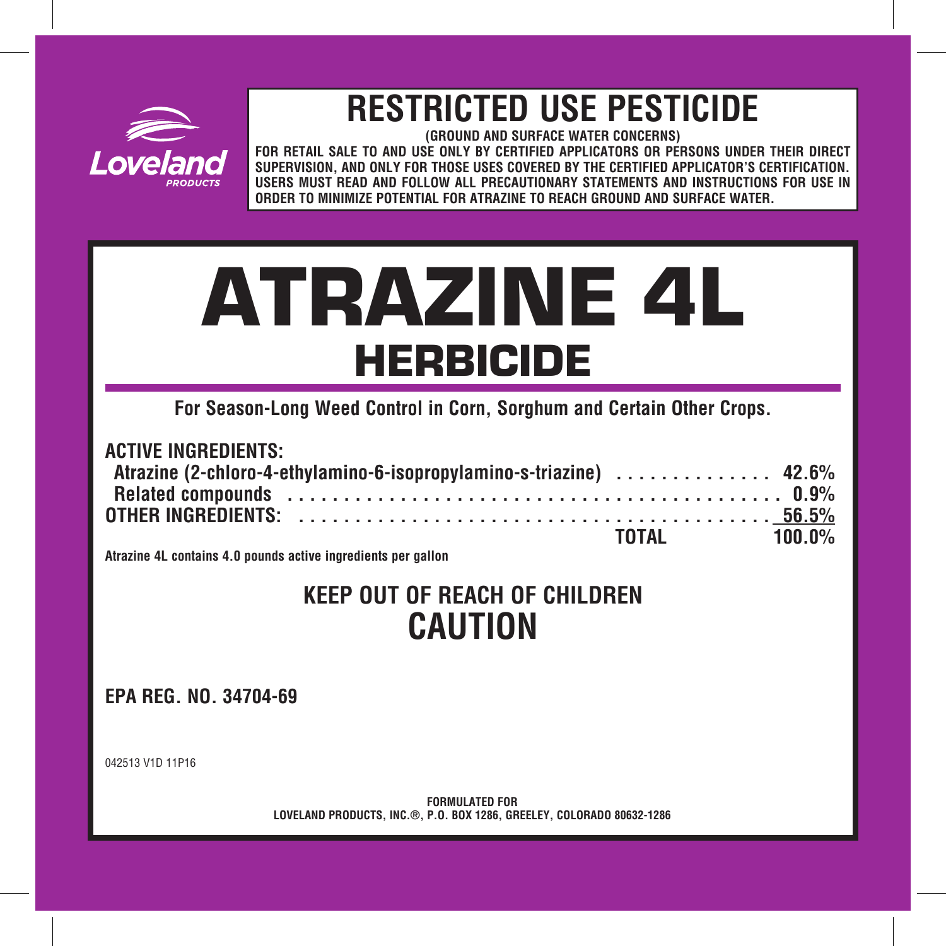

## **RESTRICTED USE PESTICIDE**

**FOR RETAIL SALE TO AND USE ONLY BY CERTIFIED APPLICATORS OR PERSONS UNDER THEIR DIRECT SUPERVISION, AND ONLY FOR THOSE USES COVERED BY THE CERTIFIED APPLICATOR'S CERTIFICATION. USERS MUST READ AND FOLLOW ALL PRECAUTIONARY STATEMENTS AND INSTRUCTIONS FOR USE IN ORDER TO MINIMIZE POTENTIAL FOR ATRAZINE TO REACH GROUND AND SURFACE WATER.** 

# ATRAZINE 4L

**For Season-Long Weed Control in Corn, Sorghum and Certain Other Crops.** 

| <b>ACTIVE INGREDIENTS:</b>                                          |  |  |  |  |  |  |  |  |  |  |  |  |  |  |  |              |  |
|---------------------------------------------------------------------|--|--|--|--|--|--|--|--|--|--|--|--|--|--|--|--------------|--|
| Atrazine (2-chloro-4-ethylamino-6-isopropylamino-s-triazine)  42.6% |  |  |  |  |  |  |  |  |  |  |  |  |  |  |  |              |  |
|                                                                     |  |  |  |  |  |  |  |  |  |  |  |  |  |  |  |              |  |
|                                                                     |  |  |  |  |  |  |  |  |  |  |  |  |  |  |  |              |  |
|                                                                     |  |  |  |  |  |  |  |  |  |  |  |  |  |  |  | TOTAL 100.0% |  |

**Atrazine 4L contains 4.0 pounds active ingredients per gallon** 

### **KEEP OUT OF REACH OF CHILDREN CAUTION**

**EPA REG. NO. 34704-69** 

042513 V1D 11P16

**FORMULATED FOR LOVELAND PRODUCTS, INC.®, P.O. BOX 1286, GREELEY, COLORADO 80632-1286**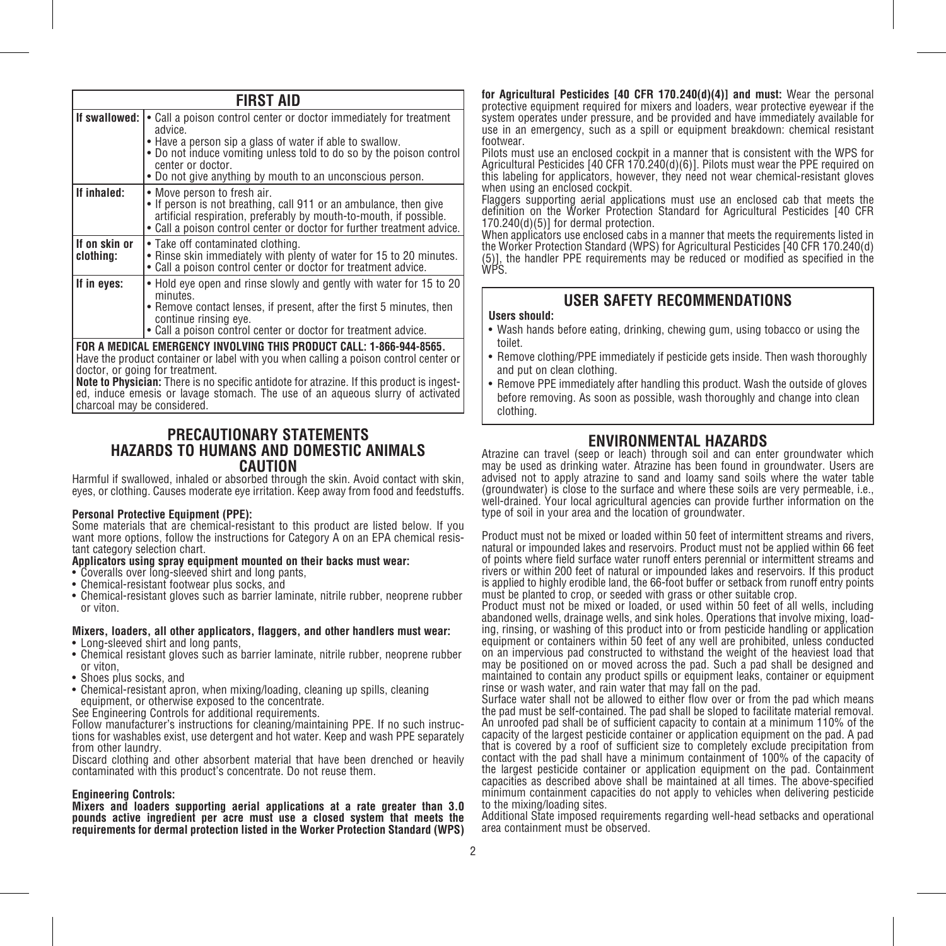|                            | <b>FIRST AID</b>                                                                                                                                                                                                                                                                                   |
|----------------------------|----------------------------------------------------------------------------------------------------------------------------------------------------------------------------------------------------------------------------------------------------------------------------------------------------|
| If swallowed:              | • Call a poison control center or doctor immediately for treatment<br>advice.<br>• Have a person sip a glass of water if able to swallow.<br>. Do not induce vomiting unless told to do so by the poison control<br>center or doctor.<br>• Do not give anything by mouth to an unconscious person. |
| If inhaled:                | • Move person to fresh air.<br>• If person is not breathing, call 911 or an ambulance, then give<br>artificial respiration, preferably by mouth-to-mouth, if possible.<br>• Call a poison control center or doctor for further treatment advice.                                                   |
| If on skin or<br>clothina: | • Take off contaminated clothing.<br>• Rinse skin immediately with plenty of water for 15 to 20 minutes.<br>• Call a poison control center or doctor for treatment advice.                                                                                                                         |
| If in eyes:                | • Hold eve open and rinse slowly and gently with water for 15 to 20<br>minutes.<br>• Remove contact lenses, if present, after the first 5 minutes, then<br>continue rinsing eye.<br>• Call a poison control center or doctor for treatment advice.                                                 |
|                            | FOR A MEDICAL EMERGENCY INVOLVING THIS PRODUCT CALL: 1-866-944-8565.<br>ومراجعهم المسلمين ومعاديا والمسالمين ومطرور ووالشراط والمطالب ومساملته ومساحيا ومستحدث وطلا ورودا                                                                                                                          |

**FOR A MEDICAL EMERGENCY INVOLVING THIS PRODUCT CALL: 1-866-944-8565.** Have the product container or label with you when calling a poison control center or doctor, or going for treatment.

**Note to Physician:** There is no specific antidote for atrazine. If this product is ingested, induce emesis or lavage stomach. The use of an aqueous slurry of activated charcoal may be considered.

### **PRECAUTIONARY STATEMENTS HAZARDS TO HUMANS AND DOMESTIC ANIMALS CAUTION**

Harmful if swallowed, inhaled or absorbed through the skin. Avoid contact with skin, eyes, or clothing. Causes moderate eye irritation. Keep away from food and feedstuffs.

### **Personal Protective Equipment (PPE):**

Some materials that are chemical-resistant to this product are listed below. If you want more options, follow the instructions for Category A on an EPA chemical resistant category selection chart.

### **Applicators using spray equipment mounted on their backs must wear:**

- Coveralls over long-sleeved shirt and long pants,
- Chemical-resistant footwear plus socks, and
- Chemical-resistant gloves such as barrier laminate, nitrile rubber, neoprene rubber or viton.

### **Mixers, loaders, all other applicators, flaggers, and other handlers must wear:** • Long-sleeved shirt and long pants,

- Chemical resistant gloves such as barrier laminate, nitrile rubber, neoprene rubber or viton,
- Shoes plus socks, and
- Chemical-resistant apron, when mixing/loading, cleaning up spills, cleaning equipment, or otherwise exposed to the concentrate.

See Engineering Controls for additional requirements.

Follow manufacturer's instructions for cleaning/maintaining PPE. If no such instructions for washables exist, use detergent and hot water. Keep and wash PPE separately from other laundry.

Discard clothing and other absorbent material that have been drenched or heavily contaminated with this product's concentrate. Do not reuse them.

### **Engineering Controls:**

**Mixers and loaders supporting aerial applications at a rate greater than 3.0 pounds active ingredient per acre must use a closed system that meets the requirements for dermal protection listed in the Worker Protection Standard (WPS)**  **for Agricultural Pesticides [40 CFR 170.240(d)(4)] and must:** Wear the personal protective equipment required for mixers and loaders, wear protective eyewear if the system operates under pressure, and be provided and have immediately available for use in an emergency, such as a spill or equipment breakdown: chemical resistant footwear.

Pilots must use an enclosed cockpit in a manner that is consistent with the WPS for Agricultural Pesticides [40 CFR 170.240(d)(6)]. Pilots must wear the PPE required on this labeling for applicators, however, they need not wear chemical-resistant gloves when using an enclosed cockpit.

Flaggers supporting aerial applications must use an enclosed cab that meets the definition on the Worker Protection Standard for Agricultural Pesticides [40 CFR 170.240(d)(5)] for dermal protection.

When applicators use enclosed cabs in a manner that meets the requirements listed in the Worker Protection Standard (WPS) for Agricultural Pesticides [40 CFR 170.240(d) (5)], the handler PPE requirements may be reduced or modified as specified in the WPS.

### **USER SAFETY RECOMMENDATIONS**

### **Users should:**

- Wash hands before eating, drinking, chewing gum, using tobacco or using the toilet.
- Remove clothing/PPE immediately if pesticide gets inside. Then wash thoroughly and put on clean clothing.
- Remove PPE immediately after handling this product. Wash the outside of gloves before removing. As soon as possible, wash thoroughly and change into clean clothing.

**ENVIRONMENTAL HAZARDS**<br>Atrazine can travel (seep or leach) through soil and can enter groundwater which may be used as drinking water. Atrazine has been found in groundwater. Users are advised not to apply atrazine to sand and loamy sand soils where the water table (groundwater) is close to the surface and where these soils are very permeable, i.e., well-drained. Your local agricultural agencies can provide further information on the type of soil in your area and the location of groundwater.

Product must not be mixed or loaded within 50 feet of intermittent streams and rivers, natural or impounded lakes and reservoirs. Product must not be applied within 66 feet of points where field surface water runoff enters perennial or intermittent streams and rivers or within 200 feet of natural or impounded lakes and reservoirs. If this product is applied to highly erodible land, the 66-foot buffer or setback from runoff entry points must be planted to crop, or seeded with grass or other suitable crop.

Product must not be mixed or loaded, or used within 50 feet of all wells, including abandoned wells, drainage wells, and sink holes. Operations that involve mixing, loading, rinsing, or washing of this product into or from pesticide handling or application equipment or containers within 50 feet of any well are prohibited, unless conducted on an impervious pad constructed to withstand the weight of the heaviest load that may be positioned on or moved across the pad. Such a pad shall be designed and maintained to contain any product spills or equipment leaks, container or equipment rinse or wash water, and rain water that may fall on the pad.

Surface water shall not be allowed to either flow over or from the pad which means the pad must be self-contained. The pad shall be sloped to facilitate material removal. An unroofed pad shall be of sufficient capacity to contain at a minimum 110% of the capacity of the largest pesticide container or application equipment on the pad. A pad that is covered by a roof of sufficient size to completely exclude precipitation from contact with the pad shall have a minimum containment of 100% of the capacity of the largest pesticide container or application equipment on the pad. Containment capacities as described above shall be maintained at all times. The above-specified minimum containment capacities do not apply to vehicles when delivering pesticide to the mixing/loading sites.

Additional State imposed requirements regarding well-head setbacks and operational area containment must be observed.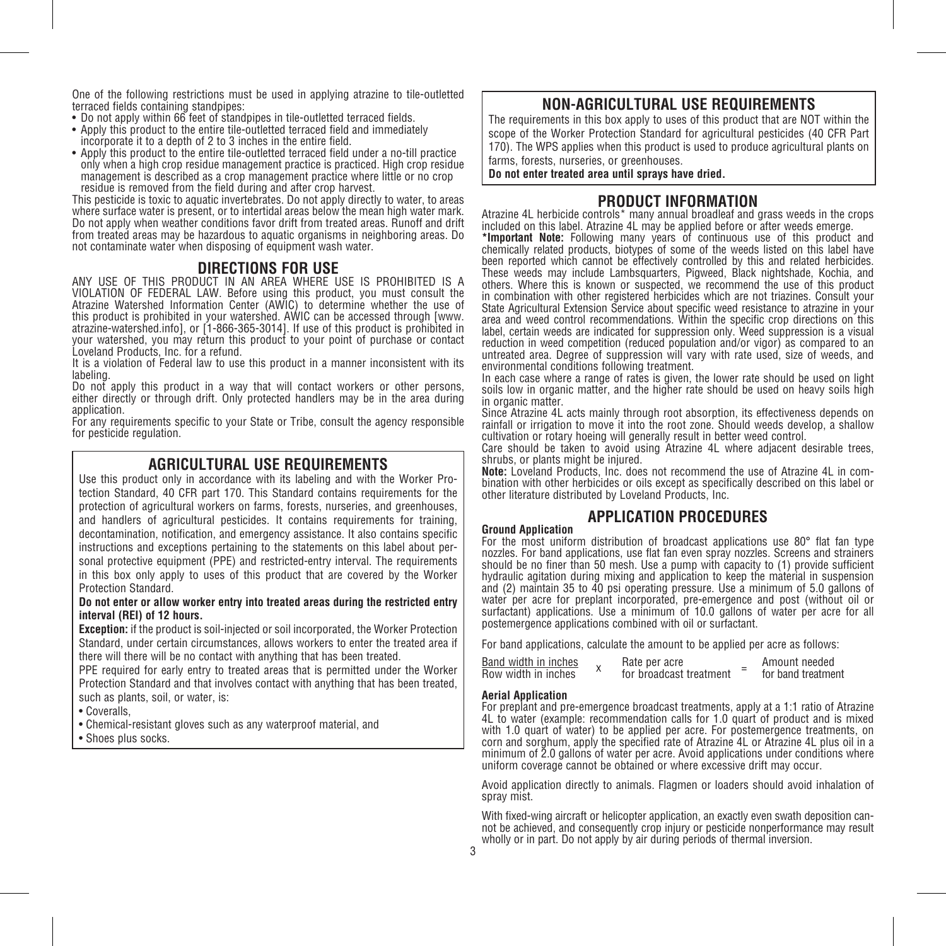One of the following restrictions must be used in applying atrazine to tile-outletted terraced fields containing standpipes:

- Do not apply within 66 feet of standpipes in tile-outletted terraced fields.
- Apply this product to the entire tile-outletted terraced field and immediately incorporate it to a depth of 2 to 3 inches in the entire field.
- Apply this product to the entire tile-outletted terraced field under a no-till practice only when a high crop residue management practice is practiced. High crop residue management is described as a crop management practice where little or no crop residue is removed from the field during and after crop harvest.

This pesticide is toxic to aquatic invertebrates. Do not apply directly to water, to areas where surface water is present, or to intertidal areas below the mean high water mark. Do not apply when weather conditions favor drift from treated areas. Runoff and drift from treated areas may be hazardous to aquatic organisms in neighboring areas. Do not contaminate water when disposing of equipment wash water.

**DIRECTIONS FOR USE**<br>ANY USE OF THIS PRODUCT IN AN AREA WHERE USE IS PROHIBITED IS A VIOLATION OF FEDERAL LAW. Before using this product, you must consult the Atrazine Watershed Information Center (AWIC) to determine whether the use of this product is prohibited in your watershed. AWIC can be accessed through [www. atrazine-watershed.info], or [1-866-365-3014]. If use of this product is prohibited in your watershed, you may return this product to your point of purchase or contact Loveland Products, Inc. for a refund.

It is a violation of Federal law to use this product in a manner inconsistent with its labeling.

Do not apply this product in a way that will contact workers or other persons. either directly or through drift. Only protected handlers may be in the area during application.

For any requirements specific to your State or Tribe, consult the agency responsible for pesticide regulation.

**AGRICULTURAL USE REQUIREMENTS**<br>Use this product only in accordance with its labeling and with the Worker Protection Standard, 40 CFR part 170. This Standard contains requirements for the protection of agricultural workers on farms, forests, nurseries, and greenhouses, and handlers of agricultural pesticides. It contains requirements for training, decontamination, notification, and emergency assistance. It also contains specific instructions and exceptions pertaining to the statements on this label about personal protective equipment (PPE) and restricted-entry interval. The requirements in this box only apply to uses of this product that are covered by the Worker Protection Standard.

### **Do not enter or allow worker entry into treated areas during the restricted entry interval (REI) of 12 hours.**

**Exception:** if the product is soil-injected or soil incorporated, the Worker Protection Standard, under certain circumstances, allows workers to enter the treated area if there will there will be no contact with anything that has been treated.

PPE required for early entry to treated areas that is permitted under the Worker Protection Standard and that involves contact with anything that has been treated, such as plants, soil, or water, is:

• Coveralls,

• Chemical-resistant gloves such as any waterproof material, and

• Shoes plus socks.

### **NON-AGRICULTURAL USE REQUIREMENTS**

The requirements in this box apply to uses of this product that are NOT within the scope of the Worker Protection Standard for agricultural pesticides (40 CFR Part 170). The WPS applies when this product is used to produce agricultural plants on farms, forests, nurseries, or greenhouses.

**Do not enter treated area until sprays have dried.**

**PRODUCT INFORMATION**<br>Atrazine 4L herbicide controls\* many annual broadleaf and grass weeds in the crops included on this label. Atrazine 4L may be applied before or after weeds emerge.

**\*Important Note:** Following many years of continuous use of this product and chemically related products, biotypes of some of the weeds listed on this label have been reported which cannot be effectively controlled by this and related herbicides. These weeds may include Lambsquarters, Pigweed, Black nightshade, Kochia, and others. Where this is known or suspected, we recommend the use of this product in combination with other registered herbicides which are not triazines. Consult your State Agricultural Extension Service about specific weed resistance to atrazine in your area and weed control recommendations. Within the specific crop directions on this label, certain weeds are indicated for suppression only. Weed suppression is a visual reduction in weed competition (reduced population and/or vigor) as compared to an untreated area. Degree of suppression will vary with rate used, size of weeds, and environmental conditions following treatment.

In each case where a range of rates is given, the lower rate should be used on light soils low in organic matter, and the higher rate should be used on heavy soils high in organic matter.

Since Atrazine 4L acts mainly through root absorption, its effectiveness depends on rainfall or irrigation to move it into the root zone. Should weeds develop, a shallow cultivation or rotary hoeing will generally result in better weed control.

Care should be taken to avoid using Atrazine 4L where adjacent desirable trees,

shrubs, or plants might be injured.<br>Note: Loveland Products, Inc. does not recommend the use of Atrazine 4L in com-**Note:** Loveland Products, Inc. does not recommend the use of Atrazine 4L in com- bination with other herbicides or oils except as specifically described on this label or other literature distributed by Loveland Products, Inc.

**Ground Application**<br>**Ground Application APPLICATION PROCEDURES**<br>For the most uniform distribution of broadcast applications use 80° flat fan type nozzles. For band applications, use flat fan even spray nozzles. Screens and strainers should be no finer than 50 mesh. Use a pump with capacity to (1) provide sufficient hydraulic agitation during mixing and application to keep the material in suspension and (2) maintain 35 to 40 psi operating pressure. Use a minimum of 5.0 gallons of water per acre for preplant incorporated, pre-emergence and post (without oil or surfactant) applications. Use a minimum of 10.0 gallons of water per acre for all postemergence applications combined with oil or surfactant.

For band applications, calculate the amount to be applied per acre as follows:

| Band width in inches | Rate per acre           | Amount needed      |
|----------------------|-------------------------|--------------------|
| Row width in inches  | for broadcast treatment | for band treatment |

### **Aerial Application**

For preplant and pre-emergence broadcast treatments, apply at a 1:1 ratio of Atrazine 4L to water (example: recommendation calls for 1.0 quart of product and is mixed with 1.0 quart of water) to be applied per acre. For postemergence treatments, on corn and sorghum, apply the specified rate of Atrazine 4L or Atrazine 4L plus oil in a minimum of 2.0 gallons of water per acre. Avoid applications under conditions where uniform coverage cannot be obtained or where excessive drift may occur.

Avoid application directly to animals. Flagmen or loaders should avoid inhalation of spray mist.

With fixed-wing aircraft or helicopter application, an exactly even swath deposition can- not be achieved, and consequently crop injury or pesticide nonperformance may result wholly or in part. Do not apply by air during periods of thermal inversion.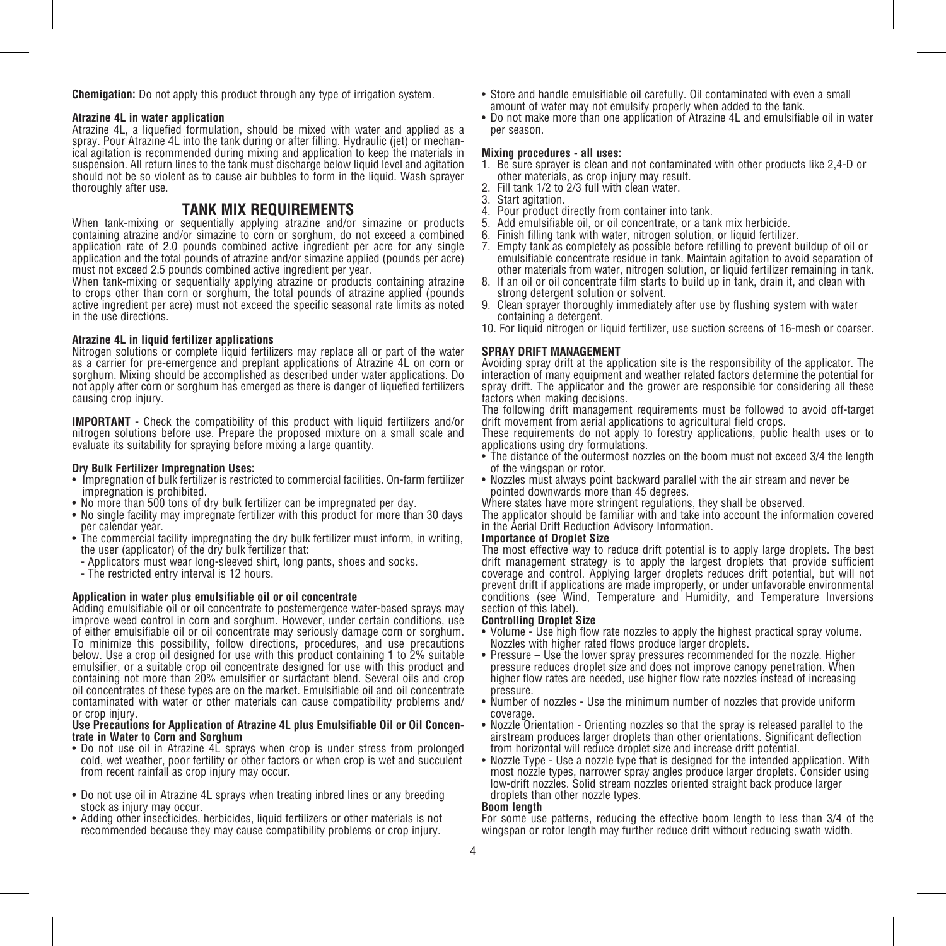**Chemigation:** Do not apply this product through any type of irrigation system.

### **Atrazine 4L in water application**

Atrazine 4L, a liquefied formulation, should be mixed with water and applied as a spray. Pour Atrazine 4L into the tank during or after filling. Hydraulic (jet) or mechanical agitation is recommended during mixing and application to keep the materials in suspension. All return lines to the tank must discharge below liquid level and agitation should not be so violent as to cause air bubbles to form in the liquid. Wash sprayer thoroughly after use.

### **TANK MIX REQUIREMENTS**

When tank-mixing or sequentially applying atrazine and/or simazine or products containing atrazine and/or simazine to corn or sorghum, do not exceed a combined application rate of 2.0 pounds combined active ingredient per acre for any single application and the total pounds of atrazine and/or simazine applied (pounds per acre) must not exceed 2.5 pounds combined active ingredient per year.

When tank-mixing or sequentially applying atrazine or products containing atrazine to crops other than corn or sorghum, the total pounds of atrazine applied (pounds active ingredient per acre) must not exceed the specific seasonal rate limits as noted in the use directions.

### **Atrazine 4L in liquid fertilizer applications**

Nitrogen solutions or complete liquid fertilizers may replace all or part of the water as a carrier for pre-emergence and preplant applications of Atrazine 4L on corn or sorghum. Mixing should be accomplished as described under water applications. Do not apply after corn or sorghum has emerged as there is danger of liquefied fertilizers causing crop injury.

**IMPORTANT** - Check the compatibility of this product with liquid fertilizers and/or nitrogen solutions before use. Prepare the proposed mixture on a small scale and evaluate its suitability for spraying before mixing a large quantity.

### **Dry Bulk Fertilizer Impregnation Uses:**

- Impregnation of bulk fertilizer is restricted to commercial facilities. On-farm fertilizer impregnation is prohibited.
- No more than 500 tons of dry bulk fertilizer can be impregnated per day.
- No single facility may impregnate fertilizer with this product for more than 30 days per calendar year.
- The commercial facility impregnating the dry bulk fertilizer must inform, in writing, the user (applicator) of the dry bulk fertilizer that:
- Applicators must wear long-sleeved shirt, long pants, shoes and socks.
- The restricted entry interval is 12 hours.

### **Application in water plus emulsifiable oil or oil concentrate**

Adding emulsifiable oil or oil concentrate to postemergence water-based sprays may improve weed control in corn and sorghum. However, under certain conditions, use of either emulsifiable oil or oil concentrate may seriously damage corn or sorghum. To minimize this possibility, follow directions, procedures, and use precautions below. Use a crop oil designed for use with this product containing 1 to 2% suitable emulsifier, or a suitable crop oil concentrate designed for use with this product and containing not more than 20% emulsifier or surfactant blend. Several oils and crop oil concentrates of these types are on the market. Emulsifiable oil and oil concentrate contaminated with water or other materials can cause compatibility problems and/ or crop injury.

### **Use Precautions for Application of Atrazine 4L plus Emulsifiable Oil or Oil Concentrate in Water to Corn and Sorghum**

- Do not use oil in Atrazine 4L sprays when crop is under stress from prolonged cold, wet weather, poor fertility or other factors or when crop is wet and succulent from recent rainfall as crop injury may occur.
- Do not use oil in Atrazine 4L sprays when treating inbred lines or any breeding stock as injury may occur.
- Adding other insecticides, herbicides, liquid fertilizers or other materials is not recommended because they may cause compatibility problems or crop injury.
- Store and handle emulsifiable oil carefully. Oil contaminated with even a small amount of water may not emulsify properly when added to the tank.
- Do not make more than one application of Atrazine 4L and emulsifiable oil in water per season.

### **Mixing procedures - all uses:**

- 1. Be sure sprayer is clean and not contaminated with other products like 2,4-D or other materials, as crop injury may result.
- Fill tank 1/2 to 2/3 full with clean water.
- 3. Start agitation.
- 4. Pour product directly from container into tank.
- 5. Add emulsifiable oil, or oil concentrate, or a tank mix herbicide.<br>6. Finish filling tank with water, nitrogen solution, or liquid fertilize
- Finish filling tank with water, nitrogen solution, or liquid fertilizer.
- 7. Empty tank as completely as possible before refilling to prevent buildup of oil or emulsifiable concentrate residue in tank. Maintain agitation to avoid separation of other materials from water, nitrogen solution, or liquid fertilizer remaining in tank.
- 8. If an oil or oil concentrate film starts to build up in tank, drain it, and clean with strong detergent solution or solvent.
- 9. Clean sprayer thoroughly immediately after use by flushing system with water containing a detergent.
- 10. For liquid nitrogen or liquid fertilizer, use suction screens of 16-mesh or coarser.

### **SPRAY DRIFT MANAGEMENT**

Avoiding spray drift at the application site is the responsibility of the applicator. The interaction of many equipment and weather related factors determine the potential for spray drift. The applicator and the grower are responsible for considering all these factors when making decisions.

The following drift management requirements must be followed to avoid off-target drift movement from aerial applications to agricultural field crops.

These requirements do not apply to forestry applications, public health uses or to applications using dry formulations.

- The distance of the outermost nozzles on the boom must not exceed 3/4 the length of the wingspan or rotor.
- Nozzles must always point backward parallel with the air stream and never be pointed downwards more than 45 degrees.

Where states have more stringent regulations, they shall be observed.

The applicator should be familiar with and take into account the information covered in the Aerial Drift Reduction Advisory Information.

### **Importance of Droplet Size**

The most effective way to reduce drift potential is to apply large droplets. The best drift management strategy is to apply the largest droplets that provide sufficient coverage and control. Applying larger droplets reduces drift potential, but will not prevent drift if applications are made improperly, or under unfavorable environmental conditions (see Wind, Temperature and Humidity, and Temperature Inversions section of this label).

#### **Controlling Droplet Size**

- Volume Use high flow rate nozzles to apply the highest practical spray volume. Nozzles with higher rated flows produce larger droplets.
- Pressure Use the lower spray pressures recommended for the nozzle. Higher pressure reduces droplet size and does not improve canopy penetration. When higher flow rates are needed, use higher flow rate nozzles instead of increasing pressure.
- Number of nozzles Use the minimum number of nozzles that provide uniform coverage.
- Nozzle Orientation Orienting nozzles so that the spray is released parallel to the airstream produces larger droplets than other orientations. Significant deflection from horizontal will reduce droplet size and increase drift potential.
- Nozzle Type Use a nozzle type that is designed for the intended application. With most nozzle types, narrower spray angles produce larger droplets. Consider using low-drift nozzles. Solid stream nozzles oriented straight back produce larger droplets than other nozzle types.

### **Boom length**

For some use patterns, reducing the effective boom length to less than 3/4 of the wingspan or rotor length may further reduce drift without reducing swath width.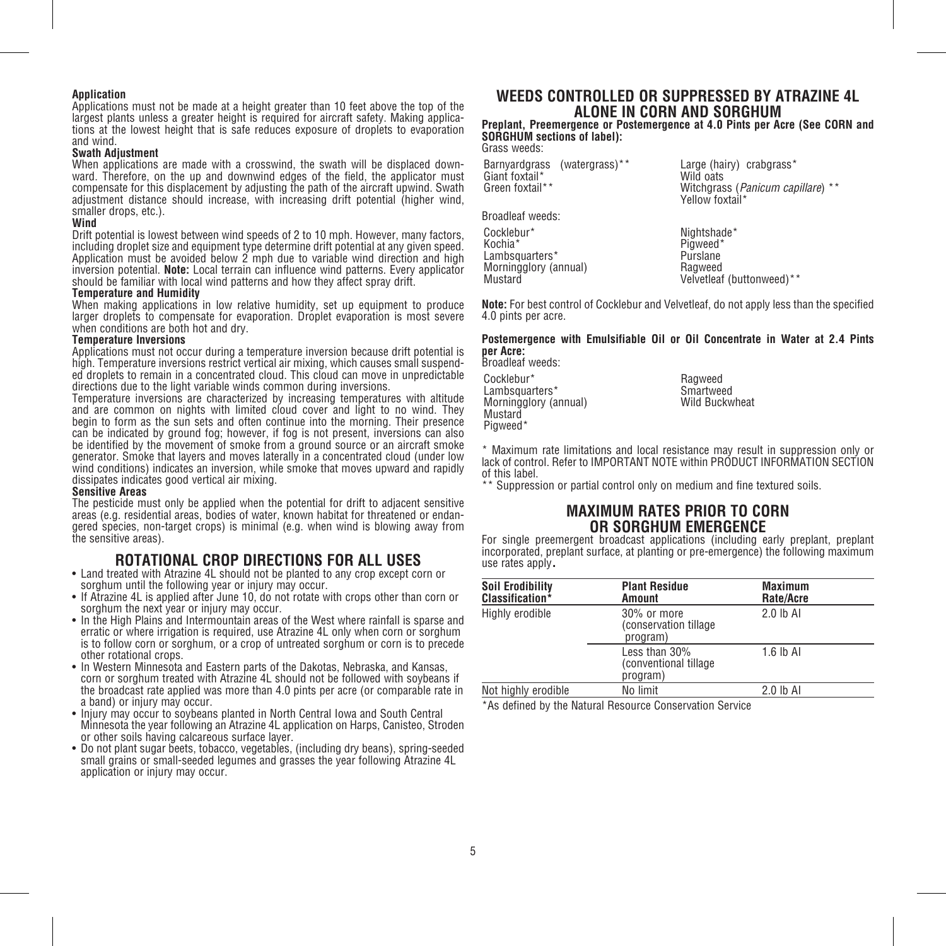### **Application**

Applications must not be made at a height greater than 10 feet above the top of the largest plants unless a greater height is required for aircraft safety. Making applications at the lowest height that is safe reduces exposure of droplets to evaporation and wind.

### **Swath Adjustment**

When applications are made with a crosswind, the swath will be displaced downward. Therefore, on the up and downwind edges of the field, the applicator must compensate for this displacement by adjusting the path of the aircraft upwind. Swath adjustment distance should increase, with increasing drift potential (higher wind, smaller drops, etc.).

### **Wind**

Drift potential is lowest between wind speeds of 2 to 10 mph. However, many factors, including droplet size and equipment type determine drift potential at any given speed. Application must be avoided below 2 mph due to variable wind direction and high inversion potential. **Note:** Local terrain can influence wind patterns. Every applicator should be familiar with local wind patterns and how they affect spray drift.

### **Temperature and Humidity**

When making applications in low relative humidity, set up equipment to produce larger droplets to compensate for evaporation. Droplet evaporation is most severe when conditions are both hot and dry.

### **Temperature Inversions**

Applications must not occur during a temperature inversion because drift potential is high. Temperature inversions restrict vertical air mixing, which causes small suspended droplets to remain in a concentrated cloud. This cloud can move in unpredictable directions due to the light variable winds common during inversions.

Temperature inversions are characterized by increasing temperatures with altitude and are common on nights with limited cloud cover and light to no wind. They begin to form as the sun sets and often continue into the morning. Their presence can be indicated by ground fog; however, if fog is not present, inversions can also be identified by the movement of smoke from a ground source or an aircraft smoke generator. Smoke that layers and moves laterally in a concentrated cloud (under low wind conditions) indicates an inversion, while smoke that moves upward and rapidly dissipates indicates good vertical air mixing.

### **Sensitive Areas**

The pesticide must only be applied when the potential for drift to adjacent sensitive areas (e.g. residential areas, bodies of water, known habitat for threatened or endangered species, non-target crops) is minimal (e.g. when wind is blowing away from the sensitive areas).

### **ROTATIONAL CROP DIRECTIONS FOR ALL USES** • Land treated with Atrazine 4L should not be planted to any crop except corn or

- sorghum until the following year or injury may occur.
- If Atrazine 4L is applied after June 10, do not rotate with crops other than corn or sorghum the next year or injury may occur.
- In the High Plains and Intermountain areas of the West where rainfall is sparse and erratic or where irrigation is required, use Atrazine 4L only when corn or sorghum is to follow corn or sorghum, or a crop of untreated sorghum or corn is to precede other rotational crops.
- In Western Minnesota and Eastern parts of the Dakotas, Nebraska, and Kansas, corn or sorghum treated with Atrazine 4L should not be followed with soybeans if the broadcast rate applied was more than 4.0 pints per acre (or comparable rate in a band) or injury may occur.
- Injury may occur to soybeans planted in North Central Iowa and South Central Minnesota the year following an Atrazine 4L application on Harps, Canisteo, Stroden or other soils having calcareous surface layer.
- Do not plant sugar beets, tobacco, vegetables, (including dry beans), spring-seeded small grains or small-seeded legumes and grasses the year following Atrazine 4L application or injury may occur.

### **WEEDS CONTROLLED OR SUPPRESSED BY ATRAZINE 4L ALONE IN CORN AND SORGHUM**

**Preplant, Preemergence or Postemergence at 4.0 Pints per Acre (See CORN and SORGHUM sections of label):** Grass weeds:

Barnyardgrass (watergrass)\*\* Giant foxtail\* Green foxtail\*\*

Large (hairy) crabgrass\* Wild oats Witchgrass (*Panicum capillare*) \*\* Yellow foxtail\*

Broadleaf weeds:

Cocklebur\* Kochia\* Lambsquarters\* Morningglory (annual) Mustard

Nightshade\* Pigweed<sup>\*</sup> Purslane Ragweed Velvetleaf (buttonweed)\*\*

**Note:** For best control of Cocklebur and Velvetleaf, do not apply less than the specified 4.0 pints per acre.

### **Postemergence with Emulsifiable Oil or Oil Concentrate in Water at 2.4 Pints per Acre:**

Broadleaf weeds:

Cocklebur\* Lambsquarters\* Morningglory (annual) Pigweed\*

Ragweed Smartweed Wild Buckwheat

\* Maximum rate limitations and local resistance may result in suppression only or lack of control. Refer to IMPORTANT NOTE within PRODUCT INFORMATION SECTION of this label.

\*\* Suppression or partial control only on medium and fine textured soils.

### **MAXIMUM RATES PRIOR TO CORN**

**OR SORGHUM EMERGENCE** For single preemergent broadcast applications (including early preplant, preplant incorporated, preplant surface, at planting or pre-emergence) the following maximum use rates apply.

| <b>Soil Erodibility</b><br>Classification* | <b>Plant Residue</b><br>Amount                       | Maximum<br>Rate/Acre |  |
|--------------------------------------------|------------------------------------------------------|----------------------|--|
| Highly erodible                            | $30\%$ or more<br>(conservation tillage)<br>program) | $2.0$ lb Al          |  |
|                                            | Less than 30%<br>(conventional tillage)<br>program)  | $1.6$ lb Al          |  |
| Not highly erodible                        | No limit                                             | 2.0 lb Al            |  |

\*As defined by the Natural Resource Conservation Service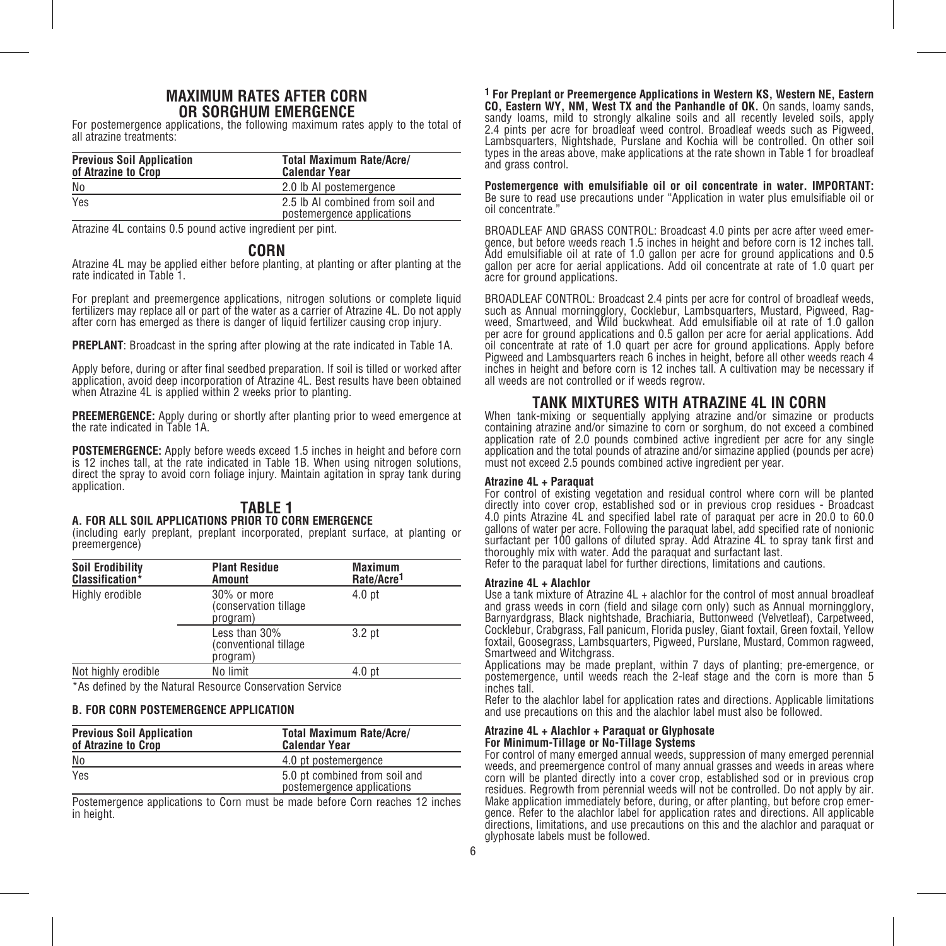### **MAXIMUM RATES AFTER CORN OR SORGHUM EMERGENCE**

For postemergence applications, the following maximum rates apply to the total of all atrazine treatments:

| <b>Previous Soil Application</b><br>of Atrazine to Crop | <b>Total Maximum Rate/Acre/</b><br><b>Calendar Year</b>        |
|---------------------------------------------------------|----------------------------------------------------------------|
| No                                                      | 2.0 lb AI postemergence                                        |
| Yes                                                     | 2.5 lb AI combined from soil and<br>postemergence applications |

Atrazine 4L contains 0.5 pound active ingredient per pint.

### **CORN**

Atrazine 4L may be applied either before planting, at planting or after planting at the rate indicated in Table 1.

For preplant and preemergence applications, nitrogen solutions or complete liquid fertilizers may replace all or part of the water as a carrier of Atrazine 4L. Do not apply after corn has emerged as there is danger of liquid fertilizer causing crop injury.

**PREPLANT**: Broadcast in the spring after plowing at the rate indicated in Table 1A.

Apply before, during or after final seedbed preparation. If soil is tilled or worked after application, avoid deep incorporation of Atrazine 4L. Best results have been obtained when Atrazine 4L is applied within 2 weeks prior to planting.

**PREEMERGENCE:** Apply during or shortly after planting prior to weed emergence at the rate indicated in Table 1A.

**POSTEMERGENCE:** Apply before weeds exceed 1.5 inches in height and before corn is 12 inches tall, at the rate indicated in Table 1B. When using nitrogen solutions, direct the spray to avoid corn foliage injury. Maintain agitation in spray tank during application.

### **TABLE 1**

### **A. FOR ALL SOIL APPLICATIONS PRIOR TO CORN EMERGENCE**

(including early preplant, preplant incorporated, preplant surface, at planting or preemergence)

| <b>Soil Erodibility</b><br>Classification* | <b>Plant Residue</b><br>Amount                       | <b>Maximum</b><br>Rate/Acre <sup>1</sup> |  |
|--------------------------------------------|------------------------------------------------------|------------------------------------------|--|
| Highly erodible                            | $30\%$ or more<br>(conservation tillage)<br>program) | 4.0 <sub>pt</sub>                        |  |
|                                            | Less than 30%<br>(conventional tillage<br>program)   | 3.2 <sub>pt</sub>                        |  |
| Not highly erodible                        | No limit                                             | 4.0 <sub>pt</sub>                        |  |

\*As defined by the Natural Resource Conservation Service

### **B. FOR CORN POSTEMERGENCE APPLICATION**

| <b>Previous Soil Application</b><br>of Atrazine to Crop | <b>Total Maximum Rate/Acre/</b><br><b>Calendar Year</b>     |  |  |  |  |  |
|---------------------------------------------------------|-------------------------------------------------------------|--|--|--|--|--|
| No                                                      | 4.0 pt postemergence                                        |  |  |  |  |  |
| Yes                                                     | 5.0 pt combined from soil and<br>postemergence applications |  |  |  |  |  |

Postemergence applications to Corn must be made before Corn reaches 12 inches in height.

**1 For Preplant or Preemergence Applications in Western KS, Western NE, Eastern CO, Eastern WY, NM, West TX and the Panhandle of OK.** On sands, loamy sands, sandy loams, mild to strongly alkaline soils and all recently leveled soils, apply 2.4 pints per acre for broadleaf weed control. Broadleaf weeds such as Pigweed, Lambsquarters, Nightshade, Purslane and Kochia will be controlled. On other soil types in the areas above, make applications at the rate shown in Table 1 for broadleaf and grass control.

**Postemergence with emulsifiable oil or oil concentrate in water. IMPORTANT:** Be sure to read use precautions under "Application in water plus emulsifiable oil or oil concentrate."

BROADLEAF AND GRASS CONTROL: Broadcast 4.0 pints per acre after weed emergence, but before weeds reach 1.5 inches in height and before corn is 12 inches tall. Add emulsifiable oil at rate of 1.0 gallon per acre for ground applications and 0.5 gallon per acre for aerial applications. Add oil concentrate at rate of 1.0 quart per acre for ground applications.

BROADLEAF CONTROL: Broadcast 2.4 pints per acre for control of broadleaf weeds, such as Annual morningglory, Cocklebur, Lambsquarters, Mustard, Pigweed, Rag-weed, Smartweed, and Wild buckwheat. Add emulsifiable oil at rate of 1.0 gallon per acre for ground applications and 0.5 gallon per acre for aerial applications. Add oil concentrate at rate of 1.0 quart per acre for ground applications. Apply before Pigweed and Lambsquarters reach 6 inches in height, before all other weeds reach 4 inches in height and before corn is 12 inches tall. A cultivation may be necessary if all weeds are not controlled or if weeds regrow.

### **TANK MIXTURES WITH ATRAZINE 4L IN CORN** When tank-mixing or sequentially applying atrazine and/or simazine or products

containing atrazine and/or simazine to corn or sorghum, do not exceed a combined application rate of 2.0 pounds combined active ingredient per acre for any single application and the total pounds of atrazine and/or simazine applied (pounds per acre) must not exceed 2.5 pounds combined active ingredient per year.

### **Atrazine 4L + Paraquat**

For control of existing vegetation and residual control where corn will be planted directly into cover crop, established sod or in previous crop residues - Broadcast 4.0 pints Atrazine 4L and specified label rate of paraquat per acre in 20.0 to 60.0 gallons of water per acre. Following the paraquat label, add specified rate of nonionic surfactant per 100 gallons of diluted spray. Add Atrazine 4L to spray tank first and thoroughly mix with water. Add the paraquat and surfactant last.

Refer to the paraquat label for further directions, limitations and cautions.

### **Atrazine 4L + Alachlor**

Use a tank mixture of Atrazine 4L + alachlor for the control of most annual broadleaf and grass weeds in corn (field and silage corn only) such as Annual morningglory, Barnyardgrass, Black nightshade, Brachiaria, Buttonweed (Velvetleaf), Carpetweed, Cocklebur, Crabgrass, Fall panicum, Florida pusley, Giant foxtail, Green foxtail, Yellow foxtail, Goosegrass, Lambsquarters, Pigweed, Purslane, Mustard, Common ragweed, Smartweed and Witchgrass.

Applications may be made preplant, within 7 days of planting; pre-emergence, or postemergence, until weeds reach the 2-leaf stage and the corn is more than 5 inches tall.

Refer to the alachlor label for application rates and directions. Applicable limitations and use precautions on this and the alachlor label must also be followed.

### **Atrazine 4L + Alachlor + Paraquat or Glyphosate**

### **For Minimum-Tillage or No-Tillage Systems**

For control of many emerged annual weeds, suppression of many emerged perennial weeds, and preemergence control of many annual grasses and weeds in areas where corn will be planted directly into a cover crop, established sod or in previous crop residues. Regrowth from perennial weeds will not be controlled. Do not apply by air. Make application immediately before, during, or after planting, but before crop emergence. Refer to the alachlor label for application rates and directions. All applicable directions, limitations, and use precautions on this and the alachlor and paraquat or glyphosate labels must be followed.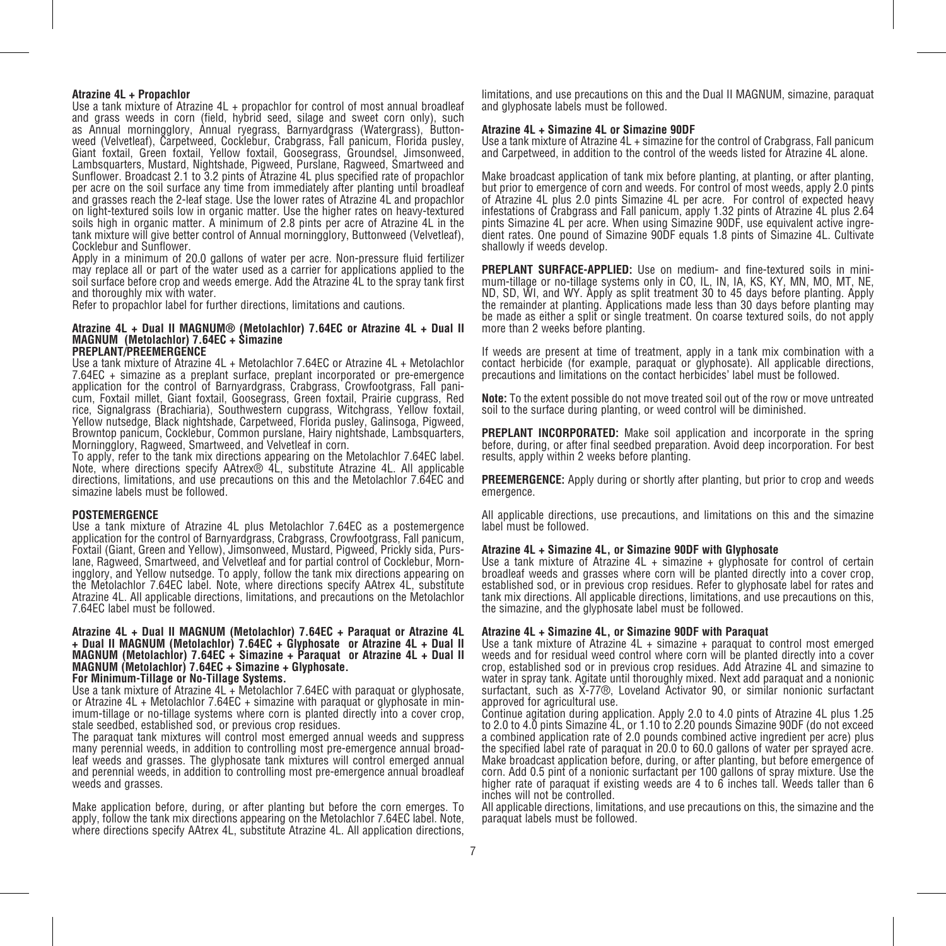### **Atrazine 4L + Propachlor**

Use a tank mixture of Atrazine 4L + propachlor for control of most annual broadleaf and grass weeds in corn (field, hybrid seed, silage and sweet corn only), such as Annual morningglory, Annual ryegrass, Barnyardgrass (Watergrass), Buttonweed (Velvetleaf), Carpetweed, Cocklebur, Crabgrass, Fall panicum, Florida pusley, Giant foxtail, Green foxtail, Yellow foxtail, Goosegrass, Groundsel, Jimsonweed, Lambsquarters, Mustard, Nightshade, Pigweed, Purslane, Ragweed, Smartweed and Sunflower. Broadcast 2.1 to 3.2 pints of Atrazine 4L plus specified rate of propachlor per acre on the soil surface any time from immediately after planting until broadleaf and grasses reach the 2-leaf stage. Use the lower rates of Atrazine 4L and propachlor on light-textured soils low in organic matter. Use the higher rates on heavy-textured soils high in organic matter. A minimum of 2.8 pints per acre of Atrazine 4L in the tank mixture will give better control of Annual morningglory, Buttonweed (Velvetleaf), Cocklebur and Sunflower.

Apply in a minimum of 20.0 gallons of water per acre. Non-pressure fluid fertilizer may replace all or part of the water used as a carrier for applications applied to the soil surface before crop and weeds emerge. Add the Atrazine 4L to the spray tank first and thoroughly mix with water.

Refer to propachlor label for further directions, limitations and cautions.

### **Atrazine 4L + Dual II MAGNUM® (Metolachlor) 7.64EC or Atrazine 4L + Dual II MAGNUM (Metolachlor) 7.64EC + Simazine PREPLANT/PREEMERGENCE**

Use a tank mixture of Atrazine 4L + Metolachlor 7.64EC or Atrazine 4L + Metolachlor 7.64EC + simazine as a preplant surface, preplant incorporated or pre-emergence application for the control of Barnyardgrass, Crabgrass, Crowfootgrass, Fall panicum, Foxtail millet, Giant foxtail, Goosegrass, Green foxtail, Prairie cupgrass, Red rice, Signalgrass (Brachiaria), Southwestern cupgrass, Witchgrass, Yellow foxtail, Yellow nutsedge, Black nightshade, Carpetweed, Florida pusley, Galinsoga, Pigweed, Browntop panicum, Cocklebur, Common purslane, Hairy nightshade, Lambsquarters, Morningglory, Ragweed, Smartweed, and Velvetleaf in corn.

To apply, refer to the tank mix directions appearing on the Metolachlor 7.64EC label. Note, where directions specify AAtrex® 4L, substitute Atrazine 4L. All applicable directions, limitations, and use precautions on this and the Metolachlor 7.64EC and simazine labels must be followed.

### **POSTEMERGENCE**

Use a tank mixture of Atrazine 4L plus Metolachlor 7.64EC as a postemergence application for the control of Barnyardgrass, Crabgrass, Crowfootgrass, Fall panicum, Foxtail (Giant, Green and Yellow), Jimsonweed, Mustard, Pigweed, Prickly sida, Purslane, Ragweed, Smartweed, and Velvetleaf and for partial control of Cocklebur, Morningglory, and Yellow nutsedge. To apply, follow the tank mix directions appearing on the Metolachlor 7.64EC label. Note, where directions specify AAtrex 4L, substitute Atrazine 4L. All applicable directions, limitations, and precautions on the Metolachlor 7.64EC label must be followed.

### **Atrazine 4L + Dual II MAGNUM (Metolachlor) 7.64EC + Paraquat or Atrazine 4L + Dual II MAGNUM (Metolachlor) 7.64EC + Glyphosate or Atrazine 4L + Dual II MAGNUM (Metolachlor) 7.64EC + Simazine + Paraquat or Atrazine 4L + Dual II MAGNUM (Metolachlor) 7.64EC + Simazine + Glyphosate.**

### **For Minimum-Tillage or No-Tillage Systems.**

Use a tank mixture of Atrazine 4L + Metolachlor 7.64EC with paraquat or glyphosate, or Atrazine 4L + Metolachlor 7.64EC + simazine with paraquat or glyphosate in minimum-tillage or no-tillage systems where corn is planted directly into a cover crop, stale seedbed, established sod, or previous crop residues.

The paraquat tank mixtures will control most emerged annual weeds and suppress many perennial weeds, in addition to controlling most pre-emergence annual broadleaf weeds and grasses. The glyphosate tank mixtures will control emerged annual and perennial weeds, in addition to controlling most pre-emergence annual broadleaf weeds and grasses.

Make application before, during, or after planting but before the corn emerges. To apply, follow the tank mix directions appearing on the Metolachlor 7.64EC label. Note, where directions specify AAtrex 4L, substitute Atrazine 4L. All application directions,

limitations, and use precautions on this and the Dual II MAGNUM, simazine, paraquat and glyphosate labels must be followed.

### **Atrazine 4L + Simazine 4L or Simazine 90DF**

Use a tank mixture of Atrazine 4L + simazine for the control of Crabgrass, Fall panicum and Carpetweed, in addition to the control of the weeds listed for Atrazine 4L alone.

Make broadcast application of tank mix before planting, at planting, or after planting, but prior to emergence of corn and weeds. For control of most weeds, apply 2.0 pints of Atrazine 4L plus 2.0 pints Simazine 4L per acre. For control of expected heavy infestations of Crabgrass and Fall panicum, apply 1.32 pints of Atrazine 4L plus 2.64 pints Simazine 4L per acre. When using Simazine 90DF, use equivalent active ingredient rates. One pound of Simazine 90DF equals 1.8 pints of Simazine 4L. Cultivate shallowly if weeds develop.

 **PREPLANT SURFACE-APPLIED:** Use on medium- and fine-textured soils in minimum-tillage or no-tillage systems only in CO, IL, IN, IA, KS, KY, MN, MO, MT, NE, ND, SD, WI, and WY. Apply as split treatment 30 to 45 days before planting. Apply the remainder at planting. Applications made less than 30 days before planting may be made as either a split or single treatment. On coarse textured soils, do not apply more than 2 weeks before planting.

If weeds are present at time of treatment, apply in a tank mix combination with a contact herbicide (for example, paraquat or glyphosate). All applicable directions, precautions and limitations on the contact herbicides' label must be followed.

**Note:** To the extent possible do not move treated soil out of the row or move untreated soil to the surface during planting, or weed control will be diminished.

 **PREPLANT INCORPORATED:** Make soil application and incorporate in the spring before, during, or after final seedbed preparation. Avoid deep incorporation. For best results, apply within 2 weeks before planting.

**PREEMERGENCE:** Apply during or shortly after planting, but prior to crop and weeds emergence.

All applicable directions, use precautions, and limitations on this and the simazine label must be followed.

### **Atrazine 4L + Simazine 4L, or Simazine 90DF with Glyphosate**

Use a tank mixture of Atrazine 4L + simazine + glyphosate for control of certain broadleaf weeds and grasses where corn will be planted directly into a cover crop, established sod, or in previous crop residues. Refer to glyphosate label for rates and tank mix directions. All applicable directions, limitations, and use precautions on this, the simazine, and the glyphosate label must be followed.

### **Atrazine 4L + Simazine 4L, or Simazine 90DF with Paraquat**

Use a tank mixture of Atrazine 4L + simazine + paraquat to control most emerged weeds and for residual weed control where corn will be planted directly into a cover crop, established sod or in previous crop residues. Add Atrazine 4L and simazine to water in spray tank. Agitate until thoroughly mixed. Next add paraquat and a nonionic surfactant, such as X-77®, Loveland Activator 90, or similar nonionic surfactant approved for agricultural use.

Continue agitation during application. Apply 2.0 to 4.0 pints of Atrazine 4L plus 1.25 to 2.0 to 4.0 pints Simazine 4L, or 1.10 to 2.20 pounds Simazine 90DF (do not exceed a combined application rate of 2.0 pounds combined active ingredient per acre) plus the specified label rate of paraquat in 20.0 to 60.0 gallons of water per sprayed acre. Make broadcast application before, during, or after planting, but before emergence of corn. Add 0.5 pint of a nonionic surfactant per 100 gallons of spray mixture. Use the higher rate of paraquat if existing weeds are 4 to 6 inches tall. Weeds taller than 6 inches will not be controlled.

All applicable directions, limitations, and use precautions on this, the simazine and the paraquat labels must be followed.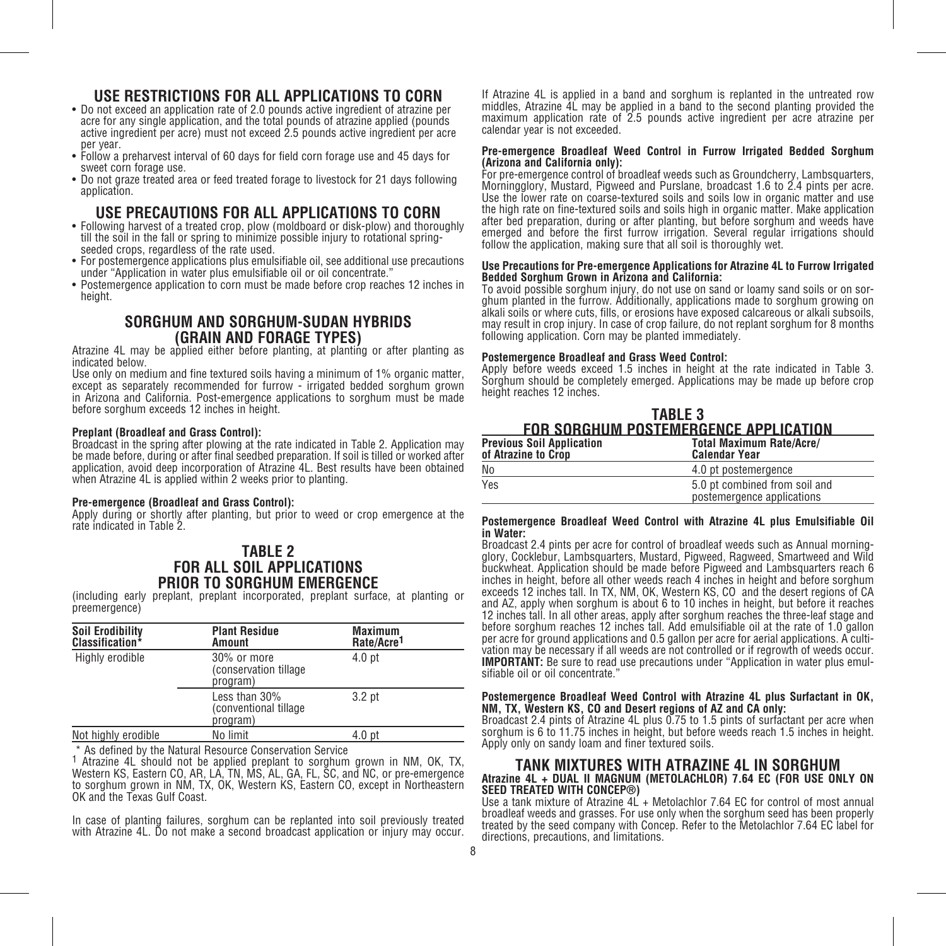### **USE RESTRICTIONS FOR ALL APPLICATIONS TO CORN** • Do not exceed an application rate of 2.0 pounds active ingredient of atrazine per

- acre for any single application, and the total pounds of atrazine applied (pounds active ingredient per acre) must not exceed 2.5 pounds active ingredient per acre per year.
- Follow a preharvest interval of 60 days for field corn forage use and 45 days for sweet corn forage use.
- Do not graze treated area or feed treated forage to livestock for 21 days following application.

### **USE PRECAUTIONS FOR ALL APPLICATIONS TO CORN** • Following harvest of a treated crop, plow (moldboard or disk-plow) and thoroughly

- till the soil in the fall or spring to minimize possible injury to rotational springseeded crops, regardless of the rate used.
- For postemergence applications plus emulsifiable oil, see additional use precautions under "Application in water plus emulsifiable oil or oil concentrate."
- Postemergence application to corn must be made before crop reaches 12 inches in height.

### **SORGHUM AND SORGHUM-SUDAN HYBRIDS**

Atrazine 4L may be applied either before planting, at planting or after planting as indicated below.

Use only on medium and fine textured soils having a minimum of 1% organic matter, except as separately recommended for furrow - irrigated bedded sorghum grown in Arizona and California. Post-emergence applications to sorghum must be made before sorghum exceeds 12 inches in height.

### **Preplant (Broadleaf and Grass Control):**

Broadcast in the spring after plowing at the rate indicated in Table 2. Application may be made before, during or after final seedbed preparation. If soil is tilled or worked after application, avoid deep incorporation of Atrazine 4L. Best results have been obtained when Atrazine 4L is applied within 2 weeks prior to planting.

### **Pre-emergence (Broadleaf and Grass Control):**

Apply during or shortly after planting, but prior to weed or crop emergence at the rate indicated in Table 2.

### **TABLE 2 FOR ALL SOIL APPLICATIONS PRIOR TO SORGHUM EMERGENCE**

(including early preplant, preplant incorporated, preplant surface, at planting or preemergence)

| <b>Soil Erodibility</b><br>Classification* | <b>Plant Residue</b><br>Amount                      | Maximum<br>Rate/Acre <sup>1</sup> |
|--------------------------------------------|-----------------------------------------------------|-----------------------------------|
| Highly erodible                            | 30% or more<br>(conservation tillage)<br>program)   | 4.0 <sub>pt</sub>                 |
|                                            | Less than 30%<br>(conventional tillage)<br>program) | 3.2 <sub>pt</sub>                 |
| Not highly erodible                        | No limit                                            | 4.0 <sub>pt</sub>                 |

\* As defined by the Natural Resource Conservation Service

1 Atrazine 4L should not be applied preplant to sorghum grown in NM, OK, TX, Western KS, Eastern CO, AR, LA, TN, MS, AL, GA, FL, SC, and NC, or pre-emergence to sorghum grown in NM, TX, OK, Western KS, Eastern CO, except in Northeastern OK and the Texas Gulf Coast.

In case of planting failures, sorghum can be replanted into soil previously treated with Atrazine 4L. Do not make a second broadcast application or injury may occur. If Atrazine 4L is applied in a band and sorghum is replanted in the untreated row middles, Atrazine 4L may be applied in a band to the second planting provided the maximum application rate of 2.5 pounds active ingredient per acre atrazine per calendar year is not exceeded.

### **Pre-emergence Broadleaf Weed Control in Furrow Irrigated Bedded Sorghum (Arizona and California only):**

For pre-emergence control of broadleaf weeds such as Groundcherry, Lambsquarters, Morningglory, Mustard, Pigweed and Purslane, broadcast 1.6 to 2.4 pints per acre. Use the lower rate on coarse-textured soils and soils low in organic matter and use the high rate on fine-textured soils and soils high in organic matter. Make application after bed preparation, during or after planting, but before sorghum and weeds have emerged and before the first furrow irrigation. Several regular irrigations should follow the application, making sure that all soil is thoroughly wet.

### **Use Precautions for Pre-emergence Applications for Atrazine 4L to Furrow Irrigated Bedded Sorghum Grown in Arizona and California:**

To avoid possible sorghum injury, do not use on sand or loamy sand soils or on sorghum planted in the furrow. Additionally, applications made to sorghum growing on alkali soils or where cuts, fills, or erosions have exposed calcareous or alkali subsoils, may result in crop injury. In case of crop failure, do not replant sorghum for 8 months following application. Corn may be planted immediately.

### **Postemergence Broadleaf and Grass Weed Control:**

Apply before weeds exceed 1.5 inches in height at the rate indicated in Table 3. Sorghum should be completely emerged. Applications may be made up before crop height reaches 12 inches.

| TABLE 3                               |  |
|---------------------------------------|--|
| FOR SORGHUM POSTEMERGENCE APPLICATION |  |
|                                       |  |

| <b>Previous Soil Application</b><br>of Atrazine to Crop | <b>Total Maximum Rate/Acre/</b><br><b>Calendar Year</b>     |
|---------------------------------------------------------|-------------------------------------------------------------|
| No                                                      | 4.0 pt postemergence                                        |
| Yes                                                     | 5.0 pt combined from soil and<br>postemergence applications |

### **Postemergence Broadleaf Weed Control with Atrazine 4L plus Emulsifiable Oil**  in Water:<br>Broadcast 2.4 pints per acre for control of broadleaf weeds such as Annual morning-

glory, Cocklebur, Lambsquarters, Mustard, Pigweed, Ragweed, Smartweed and Wild buckwheat. Application should be made before Pigweed and Lambsquarters reach 6 inches in height, before all other weeds reach 4 inches in height and before sorghum exceeds 12 inches tall. In TX, NM, OK, Western KS, CO and the desert regions of CA and AZ, apply when sorghum is about 6 to 10 inches in height, but before it reaches 12 inches tall. In all other areas, apply after sorghum reaches the three-leaf stage and before sorghum reaches 12 inches tall. Add emulsifiable oil at the rate of 1.0 gallon vation may be necessary if all weeds are not controlled or if regrowth of weeds occur. **IMPORTANT:** Be sure to read use precautions under "Application in water plus emul- sifiable oil or oil concentrate."

### **Postemergence Broadleaf Weed Control with Atrazine 4L plus Surfactant in OK, NM, TX, Western KS, CO and Desert regions of AZ and CA only:**

Broadcast 2.4 pints of Atrazine 4L plus 0.75 to 1.5 pints of surfactant per acre when sorghum is 6 to 11.75 inches in height, but before weeds reach 1.5 inches in height. Apply only on sandy loam and finer textured soils.

### **TANK MIXTURES WITH ATRAZINE 4L IN SORGHUM Atrazine 4L + DUAL II MAGNUM (METOLACHLOR) 7.64 EC (FOR USE ONLY ON**

Use a tank mixture of Atrazine 4L + Metolachlor 7.64 EC for control of most annual broadleaf weeds and grasses. For use only when the sorghum seed has been properly treated by the seed company with Concep. Refer to the Metolachlor 7.64 EC label for directions, precautions, and limitations.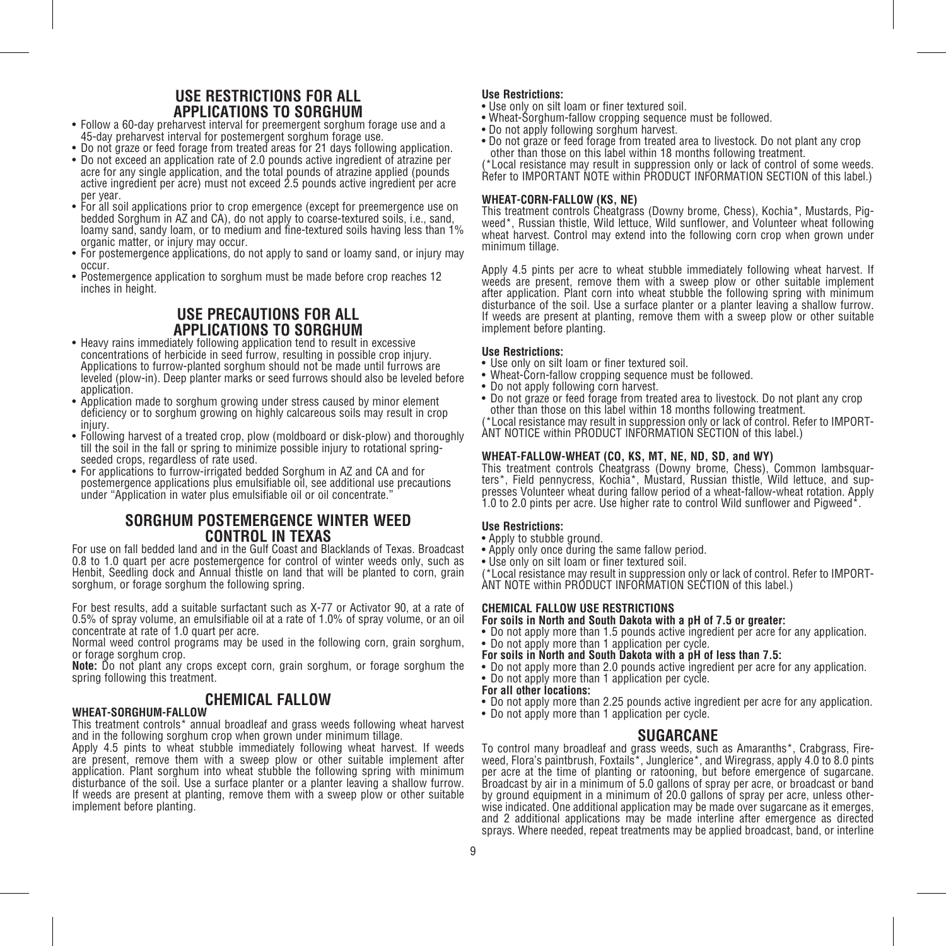### **USE RESTRICTIONS FOR ALL**

- Follow a 60-day preharvest interval for preemergent sorghum forage use and a 45-day preharvest interval for postemergent sorghum forage use.
- Do not graze or feed forage from treated areas for 21 days following application. • Do not exceed an application rate of 2.0 pounds active ingredient of atrazine per acre for any single application, and the total pounds of atrazine applied (pounds active ingredient per acre) must not exceed 2.5 pounds active ingredient per acre per year.
- For all soil applications prior to crop emergence (except for preemergence use on bedded Sorghum in AZ and CA), do not apply to coarse-textured soils, i.e., sand, loamy sand, sandy loam, or to medium and fine-textured soils having less than 1% organic matter, or injury may occur.
- For postemergence applications, do not apply to sand or loamy sand, or injury may occur.
- Postemergence application to sorghum must be made before crop reaches 12 inches in height.

### **USE PRECAUTIONS FOR ALL**

- Heavy rains immediately following application tend to result in excessive concentrations of herbicide in seed furrow, resulting in possible crop injury. Applications to furrow-planted sorghum should not be made until furrows are leveled (plow-in). Deep planter marks or seed furrows should also be leveled before application.
- Application made to sorghum growing under stress caused by minor element deficiency or to sorghum growing on highly calcareous soils may result in crop injury.
- Following harvest of a treated crop, plow (moldboard or disk-plow) and thoroughly till the soil in the fall or spring to minimize possible injury to rotational springseeded crops, regardless of rate used.
- For applications to furrow-irrigated bedded Sorghum in AZ and CA and for postemergence applications plus emulsifiable oil, see additional use precautions under "Application in water plus emulsifiable oil or oil concentrate."

### **SORGHUM POSTEMERGENCE WINTER WEED CONTROL IN TEXAS**

For use on fall bedded land and in the Gulf Coast and Blacklands of Texas. Broadcast 0.8 to 1.0 quart per acre postemergence for control of winter weeds only, such as Henbit, Seedling dock and Annual thistle on land that will be planted to corn, grain sorghum, or forage sorghum the following spring.

For best results, add a suitable surfactant such as X-77 or Activator 90, at a rate of 0.5% of spray volume, an emulsifiable oil at a rate of 1.0% of spray volume, or an oil concentrate at rate of 1.0 quart per acre.

Normal weed control programs may be used in the following corn, grain sorghum, or forage sorghum crop.

**Note:** Do not plant any crops except corn, grain sorghum, or forage sorghum the spring following this treatment.

### **CHEMICAL FALLOW**

### **WHEAT-SORGHUM-FALLOW**

This treatment controls\* annual broadleaf and grass weeds following wheat harvest and in the following sorghum crop when grown under minimum tillage.

Apply 4.5 pints to wheat stubble immediately following wheat harvest. If weeds are present, remove them with a sweep plow or other suitable implement after application. Plant sorghum into wheat stubble the following spring with minimum disturbance of the soil. Use a surface planter or a planter leaving a shallow furrow. If weeds are present at planting, remove them with a sweep plow or other suitable implement before planting.

### **Use Restrictions:**

- Use only on silt loam or finer textured soil.
- Wheat-Sorghum-fallow cropping sequence must be followed.
- Do not apply following sorghum harvest.
- Do not graze or feed forage from treated area to livestock. Do not plant any crop other than those on this label within 18 months following treatment.

(\*Local resistance may result in suppression only or lack of control of some weeds. Refer to IMPORTANT NOTE within PRODUCT INFORMATION SECTION of this label.)

### **WHEAT-CORN-FALLOW (KS, NE)**

This treatment controls Cheatgrass (Downy brome, Chess), Kochia\*, Mustards, Pigweed\*, Russian thistle, Wild lettuce, Wild sunflower, and Volunteer wheat following wheat harvest. Control may extend into the following corn crop when grown under minimum tillage.

Apply 4.5 pints per acre to wheat stubble immediately following wheat harvest. If weeds are present, remove them with a sweep plow or other suitable implement after application. Plant corn into wheat stubble the following spring with minimum disturbance of the soil. Use a surface planter or a planter leaving a shallow furrow. If weeds are present at planting, remove them with a sweep plow or other suitable implement before planting.

### **Use Restrictions:**

- Use only on silt loam or finer textured soil.
- Wheat-Corn-fallow cropping sequence must be followed.
- Do not apply following corn harvest.
- Do not graze or feed forage from treated area to livestock. Do not plant any crop other than those on this label within 18 months following treatment.

(\*Local resistance may result in suppression only or lack of control. Refer to IMPORT-ANT NOTICE within PRODUCT INFORMATION SECTION of this label.)

### **WHEAT-FALLOW-WHEAT (CO, KS, MT, NE, ND, SD, and WY)**

This treatment controls Cheatgrass (Downy brome, Chess), Common lambsquarters\*, Field pennycress, Kochia\*, Mustard, Russian thistle, Wild lettuce, and suppresses Volunteer wheat during fallow period of a wheat-fallow-wheat rotation. Apply 1.0 to 2.0 pints per acre. Use higher rate to control Wild sunflower and Pigweed\*.

### **Use Restrictions:**

- Apply to stubble ground.
- Apply only once during the same fallow period.
- Use only on silt loam or finer textured soil.

(\*Local resistance may result in suppression only or lack of control. Refer to IMPORT-ANT NOTE within PRODUCT INFORMATION SECTION of this label.)

### **CHEMICAL FALLOW USE RESTRICTIONS For soils in North and South Dakota with a pH of 7.5 or greater:**

- Do not apply more than 1.5 pounds active ingredient per acre for any application.
- Do not apply more than 1 application per cycle.
- **For soils in North and South Dakota with a pH of less than 7.5:**
- Do not apply more than 2.0 pounds active ingredient per acre for any application.

### • Do not apply more than 1 application per cycle.

- **For all other locations:**
- Do not apply more than 2.25 pounds active ingredient per acre for any application.
- Do not apply more than 1 application per cycle.

### **SUGARCANE**

To control many broadleaf and grass weeds, such as Amaranths\*, Crabgrass, Fireweed, Flora's paintbrush, Foxtails\*, Junglerice\*, and Wiregrass, apply 4.0 to 8.0 pints per acre at the time of planting or ratooning, but before emergence of sugarcane. Broadcast by air in a minimum of 5.0 gallons of spray per acre, or broadcast or band by ground equipment in a minimum of 20.0 gallons of spray per acre, unless otherwise indicated. One additional application may be made over sugarcane as it emerges, and 2 additional applications may be made interline after emergence as directed sprays. Where needed, repeat treatments may be applied broadcast, band, or interline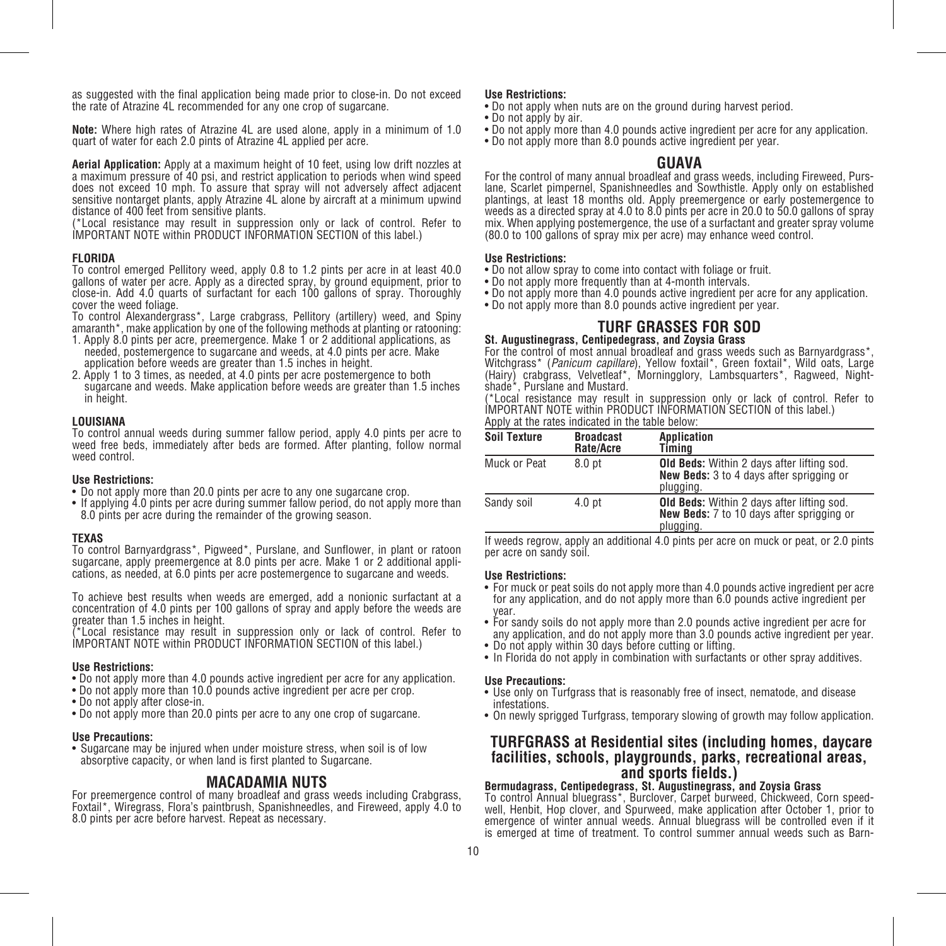as suggested with the final application being made prior to close-in. Do not exceed the rate of Atrazine 4L recommended for any one crop of sugarcane.

**Note:** Where high rates of Atrazine 4L are used alone, apply in a minimum of 1.0 quart of water for each 2.0 pints of Atrazine 4L applied per acre.

**Aerial Application:** Apply at a maximum height of 10 feet, using low drift nozzles at a maximum pressure of 40 psi, and restrict application to periods when wind speed does not exceed 10 mph. To assure that spray will not adversely affect adjacent sensitive nontarget plants, apply Atrazine 4L alone by aircraft at a minimum upwind distance of 400 feet from sensitive plants.

(\*Local resistance may result in suppression only or lack of control. Refer to IMPORTANT NOTE within PRODUCT INFORMATION SECTION of this label.)

### **FLORIDA**

To control emerged Pellitory weed, apply 0.8 to 1.2 pints per acre in at least 40.0 gallons of water per acre. Apply as a directed spray, by ground equipment, prior to close-in. Add 4.0 quarts of surfactant for each 100 gallons of spray. Thoroughly cover the weed foliage.

To control Alexandergrass\*, Large crabgrass, Pellitory (artillery) weed, and Spiny amaranth\*, make application by one of the following methods at planting or ratooning:

- 1. Apply 8.0 pints per acre, preemergence. Make 1 or 2 additional applications, as needed, postemergence to sugarcane and weeds, at 4.0 pints per acre. Make application before weeds are greater than 1.5 inches in height.
- 2. Apply 1 to 3 times, as needed, at 4.0 pints per acre postemergence to both sugarcane and weeds. Make application before weeds are greater than 1.5 inches in height.

### **LOUISIANA**

To control annual weeds during summer fallow period, apply 4.0 pints per acre to weed free beds, immediately after beds are formed. After planting, follow normal weed control.

### **Use Restrictions:**

- Do not apply more than 20.0 pints per acre to any one sugarcane crop.
- If applying 4.0 pints per acre during summer fallow period, do not apply more than 8.0 pints per acre during the remainder of the growing season.

#### **TEXAS**

To control Barnyardgrass\*, Pigweed\*, Purslane, and Sunflower, in plant or ratoon sugarcane, apply preemergence at 8.0 pints per acre. Make 1 or 2 additional applications, as needed, at 6.0 pints per acre postemergence to sugarcane and weeds.

To achieve best results when weeds are emerged, add a nonionic surfactant at a concentration of 4.0 pints per 100 gallons of spray and apply before the weeds are greater than 1.5 inches in height.

(\*Local resistance may result in suppression only or lack of control. Refer to IMPORTANT NOTE within PRODUCT INFORMATION SECTION of this label.)

### **Use Restrictions:**

- Do not apply more than 4.0 pounds active ingredient per acre for any application.
- Do not apply more than 10.0 pounds active ingredient per acre per crop.
- Do not apply after close-in.
- Do not apply more than 20.0 pints per acre to any one crop of sugarcane.

### **Use Precautions:**

• Sugarcane may be injured when under moisture stress, when soil is of low absorptive capacity, or when land is first planted to Sugarcane.

**MACADAMIA NUTS**<br>For preemergence control of many broadleaf and grass weeds including Crabgrass, Foxtail\*, Wiregrass, Flora's paintbrush, Spanishneedles, and Fireweed, apply 4.0 to 8.0 pints per acre before harvest. Repeat as necessary.

### **Use Restrictions:**

- Do not apply when nuts are on the ground during harvest period.
- Do not apply by air.
- Do not apply more than 4.0 pounds active ingredient per acre for any application.
- Do not apply more than 8.0 pounds active ingredient per year.

### **GUAVA**

For the control of many annual broadleaf and grass weeds, including Fireweed, Purslane, Scarlet pimpernel, Spanishneedles and Sowthistle. Apply only on established plantings, at least 18 months old. Apply preemergence or early postemergence to weeds as a directed spray at 4.0 to 8.0 pints per acre in 20.0 to 50.0 gallons of spray mix. When applying postemergence, the use of a surfactant and greater spray volume (80.0 to 100 gallons of spray mix per acre) may enhance weed control.

### **Use Restrictions:**

- Do not allow spray to come into contact with foliage or fruit.
- Do not apply more frequently than at 4-month intervals.
- Do not apply more than 4.0 pounds active ingredient per acre for any application.
- Do not apply more than 8.0 pounds active ingredient per year.

### **TURF GRASSES FOR SOD**

### **St. Augustinegrass, Centipedegrass, and Zoysia Grass**

For the control of most annual broadleaf and grass weeds such as Barnyardgrass<sup>\*</sup>, Witchgrass\* (*Panicum capillare*), Yellow foxtail\*, Green foxtail\*, Wild oats, Large (Hairy) crabgrass, Velvetleaf\*, Morningglory, Lambsquarters\*, Ragweed, Nightshade\*, Purslane and Mustard.

(\*Local resistance may result in suppression only or lack of control. Refer to IMPORTANT NOTE within PRODUCT INFORMATION SECTION of this label.) Apply at the rates indicated in the table below:

| <b>Soil Texture</b> | <b>Broadcast</b><br>Rate/Acre | Application<br>Timing                                                                                |
|---------------------|-------------------------------|------------------------------------------------------------------------------------------------------|
| Muck or Peat        | 8.0 <sub>pt</sub>             | Old Beds: Within 2 days after lifting sod.<br>New Beds: 3 to 4 days after sprigging or<br>plugging.  |
| Sandy soil          | 4.0 <sub>pt</sub>             | Old Beds: Within 2 days after lifting sod.<br>New Beds: 7 to 10 days after sprigging or<br>plugging. |

If weeds regrow, apply an additional 4.0 pints per acre on muck or peat, or 2.0 pints per acre on sandy soil.

### **Use Restrictions:**

- For muck or peat soils do not apply more than 4.0 pounds active ingredient per acre for any application, and do not apply more than 6.0 pounds active ingredient per year.
- For sandy soils do not apply more than 2.0 pounds active ingredient per acre for any application, and do not apply more than 3.0 pounds active ingredient per year.
- Do not apply within 30 days before cutting or lifting.
- In Florida do not apply in combination with surfactants or other spray additives.

### **Use Precautions:**

- Use only on Turfgrass that is reasonably free of insect, nematode, and disease infestations.
- On newly sprigged Turfgrass, temporary slowing of growth may follow application.

### **TURFGRASS at Residential sites (including homes, daycare facilities, schools, playgrounds, parks, recreational areas,**

### **and sports fields.) Bermudagrass, Centipedegrass, St. Augustinegrass, and Zoysia Grass**

To control Annual bluegrass\*, Burclover, Carpet burweed, Chickweed, Corn speedwell, Henbit, Hop clover, and Spurweed, make application after October 1, prior to emergence of winter annual weeds. Annual bluegrass will be controlled even if it is emerged at time of treatment. To control summer annual weeds such as Barn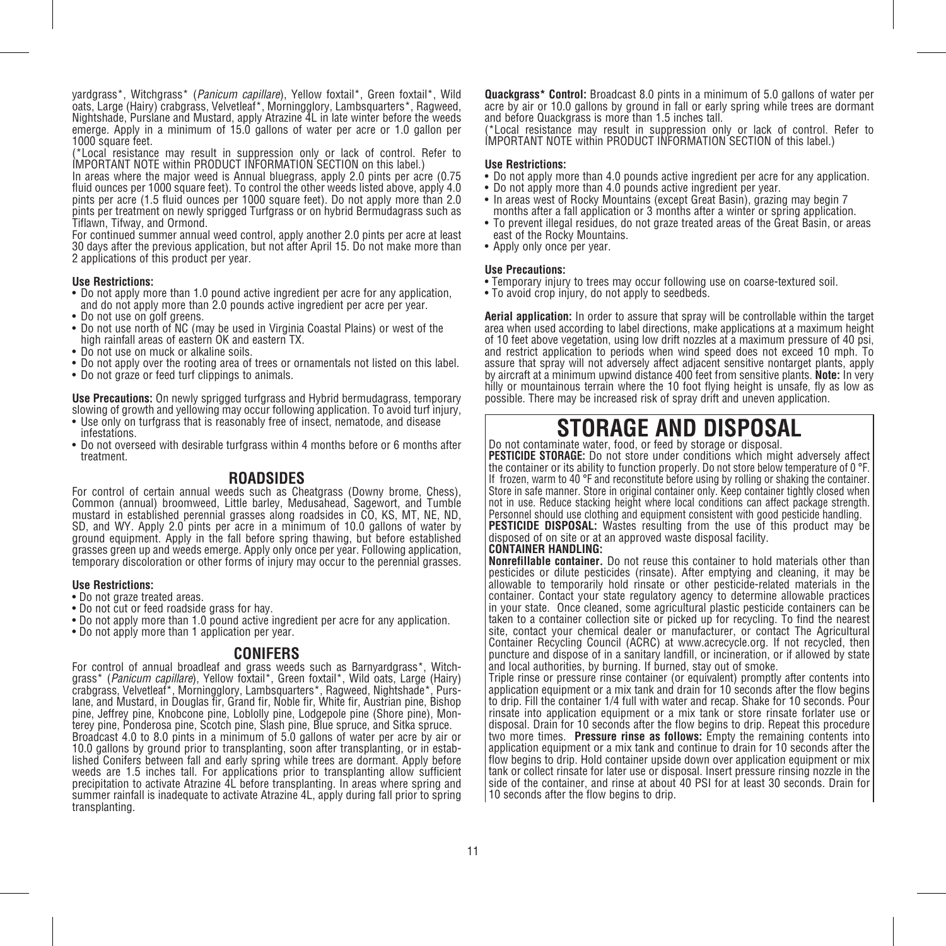yardgrass\*, Witchgrass\* (*Panicum capillare*), Yellow foxtail\*, Green foxtail\*, Wild oats, Large (Hairy) crabgrass, Velvetleaf\*, Morningglory, Lambsquarters\*, Ragweed, Nightshade, Purslane and Mustard, apply Atrazine 4L in late winter before the weeds emerge. Apply in a minimum of 15.0 gallons of water per acre or 1.0 gallon per 1000 square feet.

(\*Local resistance may result in suppression only or lack of control. Refer to IMPORTANT NOTE within PRODUCT INFORMATION SECTION on this label.)

In areas where the major weed is Annual bluegrass, apply 2.0 pints per acre (0.75 fluid ounces per 1000 square feet). To control the other weeds listed above, apply 4.0 pints per acre (1.5 fluid ounces per 1000 square feet). Do not apply more than 2.0 pints per treatment on newly sprigged Turfgrass or on hybrid Bermudagrass such as Tiflawn, Tifway, and Ormond.

For continued summer annual weed control, apply another 2.0 pints per acre at least 30 days after the previous application, but not after April 15. Do not make more than 2 applications of this product per year.

### **Use Restrictions:**

- Do not apply more than 1.0 pound active ingredient per acre for any application, and do not apply more than 2.0 pounds active ingredient per acre per year.
- Do not use on golf greens.
- Do not use north of NC (may be used in Virginia Coastal Plains) or west of the high rainfall areas of eastern OK and eastern TX.
- Do not use on muck or alkaline soils
- Do not apply over the rooting area of trees or ornamentals not listed on this label.
- Do not graze or feed turf clippings to animals.

**Use Precautions:** On newly sprigged turfgrass and Hybrid bermudagrass, temporary slowing of growth and yellowing may occur following application. To avoid turf injury,

- Use only on turfgrass that is reasonably free of insect, nematode, and disease infestations.
- Do not overseed with desirable turfgrass within 4 months before or 6 months after treatment.

### **ROADSIDES**

For control of certain annual weeds such as Cheatgrass (Downy brome, Chess), Common (annual) broomweed, Little barley, Medusahead, Sagewort, and Tumble mustard in established perennial grasses along roadsides in CO, KS, MT, NE, ND, SD, and WY. Apply 2.0 pints per acre in a minimum of 10.0 gallons of water by ground equipment. Apply in the fall before spring thawing, but before established grasses green up and weeds emerge. Apply only once per year. Following application, temporary discoloration or other forms of injury may occur to the perennial grasses.

### **Use Restrictions:**

- Do not graze treated areas.
- Do not cut or feed roadside grass for hay.
- Do not apply more than 1.0 pound active ingredient per acre for any application.
- Do not apply more than 1 application per year.

**CONIFERS**<br>For control of annual broadleaf and grass weeds such as Barnyardgrass\*, Witch-<br>grass\* (*Panicum capillare*), Yellow foxtail\*, Green foxtail\*, Wild oats, Large (Hairy)<br>crabgrass, Velvetleaf\*, Morningglory, Lambsq lane, and Mustard, in Douglas fir, Grand fir, Noble fir, White fir, Austrian pine, Bishop<br>pine, Jeffrey pine, Knobcone pine, Loblolly pine, Lodgepole pine (Shore pine), Monterey pine, Ponderosa pine, Scotch pine, Slash pine, Blue spruce, and Sitka spruce. Broadcast 4.0 to 8.0 pints in a minimum of 5.0 gallons of water per acre by air or lished Conifers between fall and early spring while trees are dormant. Apply before weeds are 1.5 inches tall. For applications prior to transplanting allow sufficient precipitation to activate Atrazine 4L before transplanting. In areas where spring and summer rainfall is inadequate to activate Atrazine 4L, apply during fall prior to spring transplanting.

**Quackgrass\* Control:** Broadcast 8.0 pints in a minimum of 5.0 gallons of water per acre by air or 10.0 gallons by ground in fall or early spring while trees are dormant and before Quackgrass is more than 1.5 inches tall.

(\*Local resistance may result in suppression only or lack of control. Refer to IMPORTANT NOTE within PRODUCT INFORMATION SECTION of this label.)

### **Use Restrictions:**

- Do not apply more than 4.0 pounds active ingredient per acre for any application.
- Do not apply more than 4.0 pounds active ingredient per year.
- In areas west of Rocky Mountains (except Great Basin), grazing may begin 7 months after a fall application or 3 months after a winter or spring application.
- To prevent illegal residues, do not graze treated areas of the Great Basin, or areas east of the Rocky Mountains.
- Apply only once per year.

#### **Use Precautions:**

- Temporary injury to trees may occur following use on coarse-textured soil.
- To avoid crop injury, do not apply to seedbeds.

**Aerial application:** In order to assure that spray will be controllable within the target area when used according to label directions, make applications at a maximum height of 10 feet above vegetation, using low drift nozzles at a maximum pressure of 40 psi, and restrict application to periods when wind speed does not exceed 10 mph. To assure that spray will not adversely affect adjacent sensitive nontarget plants, apply by aircraft at a minimum upwind distance 400 feet from sensitive plants. **Note:** In very hilly or mountainous terrain where the 10 foot flying height is unsafe, fly as low as possible. There may be increased risk of spray drift and uneven application.

### **STORAGE AND DISPOSAL**<br>Do not contaminate water, food, or feed by storage or disposal.

**PESTICIDE STORAGE:** Do not store under conditions which might adversely affect the container or its ability to function properly. Do not store below temperature of 0 °F. If frozen, warm to 40 °F and reconstitute before using by rolling or shaking the container. Store in safe manner. Store in original container only. Keep container tightly closed when not in use. Reduce stacking height where local conditions can affect package strength. Personnel should use clothing and equipment consistent with good pesticide handling. **PESTICIDE DISPOSAL:** Wastes resulting from the use of this product may be disposed of on site or at an approved waste disposal facility.

### **CONTAINER HANDLING:**

**Nonrefillable container.** Do not reuse this container to hold materials other than pesticides or dilute pesticides (rinsate). After emptying and cleaning, it may be allowable to temporarily hold rinsate or other pesticide-related materials in the container. Contact your state regulatory agency to determine allowable practices in your state. Once cleaned, some agricultural plastic pesticide containers can be taken to a container collection site or picked up for recycling. To find the nearest site, contact your chemical dealer or manufacturer, or contact The Agricultural Container Recycling Council (ACRC) at www.acrecycle.org. If not recycled, then puncture and dispose of in a sanitary landfill, or incineration, or if allowed by state and local authorities, by burning. If burned, stay out of smoke.

Triple rinse or pressure rinse container (or equivalent) promptly after contents into application equipment or a mix tank and drain for 10 seconds after the flow begins to drip. Fill the container 1/4 full with water and recap. Shake for 10 seconds. Pour rinsate into application equipment or a mix tank or store rinsate forlater use or disposal. Drain for 10 seconds after the flow begins to drip. Repeat this procedure two more times. **Pressure rinse as follows:** Empty the remaining contents into application equipment or a mix tank and continue to drain for 10 seconds after the flow begins to drip. Hold container upside down over application equipment or mix tank or collect rinsate for later use or disposal. Insert pressure rinsing nozzle in the side of the container, and rinse at about 40 PSI for at least 30 seconds. Drain for 10 seconds after the flow begins to drip.